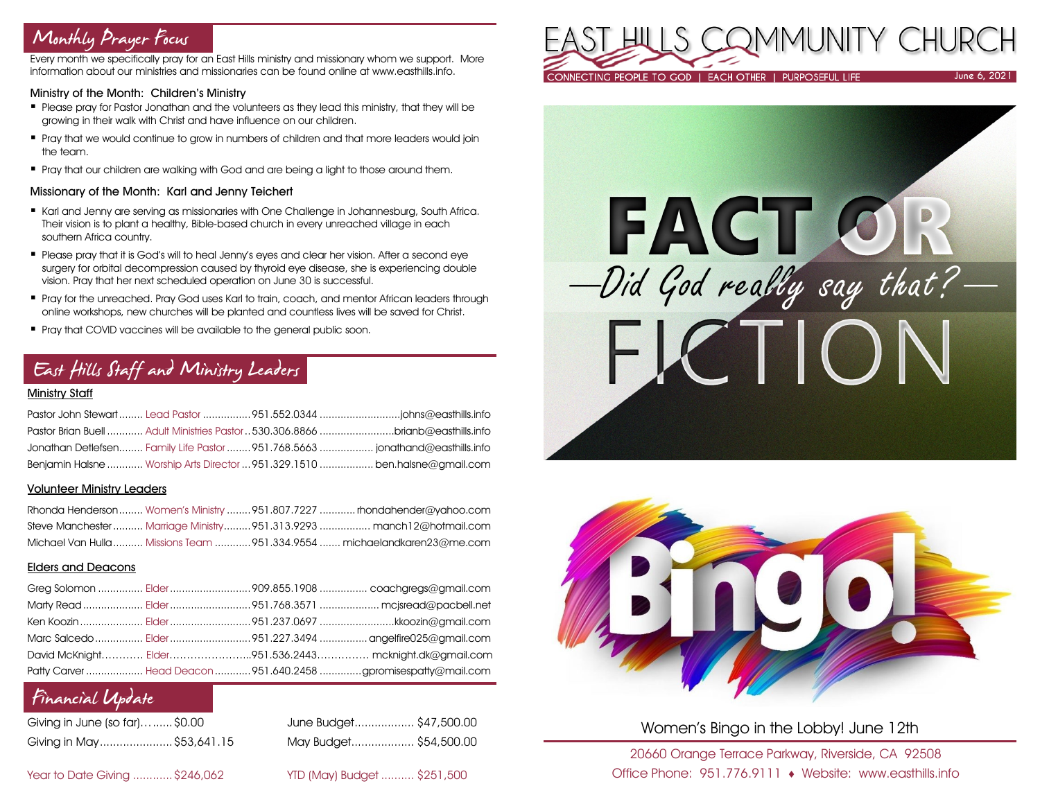# Monthly Prayer Focus

Every month we specifically pray for an East Hills ministry and missionary whom we support. More information about our ministries and missionaries can be found online at www.easthills.info.

### Ministry of the Month: Children's Ministry

- Please pray for Pastor Jonathan and the volunteers as they lead this ministry, that they will be growing in their walk with Christ and have influence on our children.
- Pray that we would continue to grow in numbers of children and that more leaders would join the team.
- Pray that our children are walking with God and are being a light to those around them.

### Missionary of the Month: Karl and Jenny Teichert

- Karl and Jenny are serving as missionaries with One Challenge in Johannesburg, South Africa. Their vision is to plant a healthy, Bible-based church in every unreached village in each southern Africa country.
- Please pray that it is God's will to heal Jenny's eyes and clear her vision. After a second eye surgery for orbital decompression caused by thyroid eye disease, she is experiencing double vision. Pray that her next scheduled operation on June 30 is successful.
- **Pray for the unreached. Pray God uses Karl to train, coach, and mentor African leaders through** online workshops, new churches will be planted and countless lives will be saved for Christ.
- Pray that COVID vaccines will be available to the general public soon.

# East Hills Staff and Ministry Leaders

## Ministry Staff

|  | Pastor Brian Buell  Adult Ministries Pastor  530,306,8866 brianb@easthills.info |
|--|---------------------------------------------------------------------------------|
|  | Jonathan Detlefsen Family Life Pastor  951.768.5663  jonathand@easthills.info   |
|  | Benjamin Halsne  Worship Arts Director  951.329.1510  ben.halsne@gmail.com      |

#### Volunteer Ministry Leaders

|  | Rhonda Henderson Women's Ministry  951.807.7227  rhondahender@yahoo.com  |
|--|--------------------------------------------------------------------------|
|  | Steve Manchester  Marriage Ministry 951.313.9293  manch12@hotmail.com    |
|  | Michael Van Hulla  Missions Team  951.334.9554  michaelandkaren23@me.com |

## Elders and Deacons

|  | Ken Koozin  Elder 951.237.0697 kkoozin@gmail.com                |
|--|-----------------------------------------------------------------|
|  |                                                                 |
|  | David McKnight Elder951.536.2443 mcknight.dk@gmail.com          |
|  | Patty Carver  Head Deacon  951.640.2458 gpromisespatty@mail.com |

# Financial Update

| Giving in June (so far)\$0.00 |  |
|-------------------------------|--|
| Giving in May\$53,641.1       |  |

June Budget................... \$47,500.00 Giving in May......................\$53,641.15 May Budget................... \$54,500.00

Year to Date Giving ............\$246,062 YTD (May) Budget .......... \$251,500







Women's Bingo in the Lobby! June 12th

20660 Orange Terrace Parkway, Riverside, CA 92508 Office Phone: 951.776.9111 Website: www.easthills.info